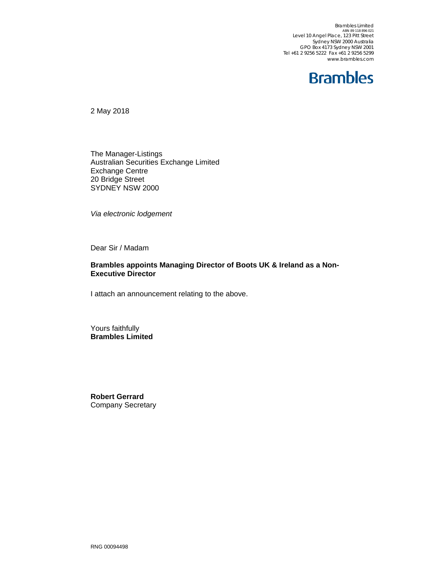Brambles Limited<br>ABN 89 118 896 021 Level 10 Angel Place, 123 Pitt Street Sydney NSW 2000 Australia GPO Box 4173 Sydney NSW 2001 Tel +61 2 9256 5222 Fax +61 2 9256 5299 www.brambles.com

## **Brambles**

2 May 2018

The Manager-Listings Australian Securities Exchange Limited Exchange Centre 20 Bridge Street SYDNEY NSW 2000

*Via electronic lodgement* 

Dear Sir / Madam

## **Brambles appoints Managing Director of Boots UK & Ireland as a Non-Executive Director**

I attach an announcement relating to the above.

Yours faithfully **Brambles Limited** 

**Robert Gerrard**  Company Secretary